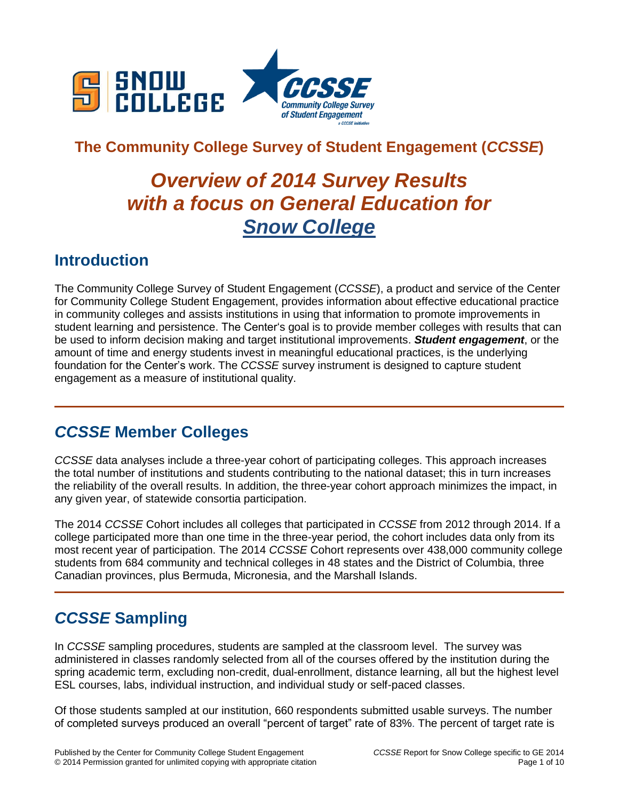

## **The Community College Survey of Student Engagement (***CCSSE***)**

# *Overview of 2014 Survey Results with a focus on General Education for Snow College*

### **Introduction**

The Community College Survey of Student Engagement (*CCSSE*), a product and service of the Center for Community College Student Engagement, provides information about effective educational practice in community colleges and assists institutions in using that information to promote improvements in student learning and persistence. The Center's goal is to provide member colleges with results that can be used to inform decision making and target institutional improvements. *Student engagement*, or the amount of time and energy students invest in meaningful educational practices, is the underlying foundation for the Center's work. The *CCSSE* survey instrument is designed to capture student engagement as a measure of institutional quality.

## *CCSSE* **Member Colleges**

*CCSSE* data analyses include a three-year cohort of participating colleges. This approach increases the total number of institutions and students contributing to the national dataset; this in turn increases the reliability of the overall results. In addition, the three-year cohort approach minimizes the impact, in any given year, of statewide consortia participation.

The 2014 *CCSSE* Cohort includes all colleges that participated in *CCSSE* from 2012 through 2014. If a college participated more than one time in the three-year period, the cohort includes data only from its most recent year of participation. The 2014 *CCSSE* Cohort represents over 438,000 community college students from 684 community and technical colleges in 48 states and the District of Columbia, three Canadian provinces, plus Bermuda, Micronesia, and the Marshall Islands.

## *CCSSE* **Sampling**

In *CCSSE* sampling procedures, students are sampled at the classroom level. The survey was administered in classes randomly selected from all of the courses offered by the institution during the spring academic term, excluding non-credit, dual-enrollment, distance learning, all but the highest level ESL courses, labs, individual instruction, and individual study or self-paced classes.

Of those students sampled at our institution, 660 respondents submitted usable surveys. The number of completed surveys produced an overall "percent of target" rate of 83%. The percent of target rate is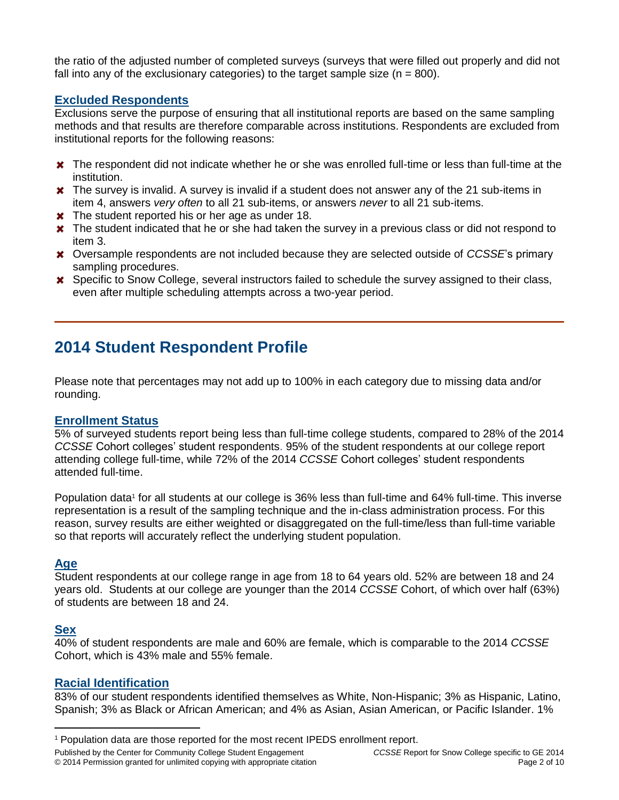the ratio of the adjusted number of completed surveys (surveys that were filled out properly and did not fall into any of the exclusionary categories) to the target sample size  $(n = 800)$ .

#### **Excluded Respondents**

Exclusions serve the purpose of ensuring that all institutional reports are based on the same sampling methods and that results are therefore comparable across institutions. Respondents are excluded from institutional reports for the following reasons:

- **\*** The respondent did not indicate whether he or she was enrolled full-time or less than full-time at the institution.
- **\*** The survey is invalid. A survey is invalid if a student does not answer any of the 21 sub-items in item 4, answers *very often* to all 21 sub-items, or answers *never* to all 21 sub-items.
- **\*** The student reported his or her age as under 18.
- \* The student indicated that he or she had taken the survey in a previous class or did not respond to item 3.
- Oversample respondents are not included because they are selected outside of *CCSSE*'s primary sampling procedures.
- Specific to Snow College, several instructors failed to schedule the survey assigned to their class, even after multiple scheduling attempts across a two-year period.

### **2014 Student Respondent Profile**

Please note that percentages may not add up to 100% in each category due to missing data and/or rounding.

#### **Enrollment Status**

5% of surveyed students report being less than full-time college students, compared to 28% of the 2014 *CCSSE* Cohort colleges' student respondents. 95% of the student respondents at our college report attending college full-time, while 72% of the 2014 *CCSSE* Cohort colleges' student respondents attended full-time.

Population data<sup>1</sup> for all students at our college is 36% less than full-time and 64% full-time. This inverse representation is a result of the sampling technique and the in-class administration process. For this reason, survey results are either weighted or disaggregated on the full-time/less than full-time variable so that reports will accurately reflect the underlying student population.

#### **Age**

Student respondents at our college range in age from 18 to 64 years old. 52% are between 18 and 24 years old. Students at our college are younger than the 2014 *CCSSE* Cohort, of which over half (63%) of students are between 18 and 24.

#### **Sex**

 $\overline{a}$ 

40% of student respondents are male and 60% are female, which is comparable to the 2014 *CCSSE* Cohort, which is 43% male and 55% female.

#### **Racial Identification**

83% of our student respondents identified themselves as White, Non-Hispanic; 3% as Hispanic, Latino, Spanish; 3% as Black or African American; and 4% as Asian, Asian American, or Pacific Islander. 1%

Published by the Center for Community College Student Engagement *CCSSE* Report for Snow College specific to GE 2014

<sup>1</sup> Population data are those reported for the most recent IPEDS enrollment report.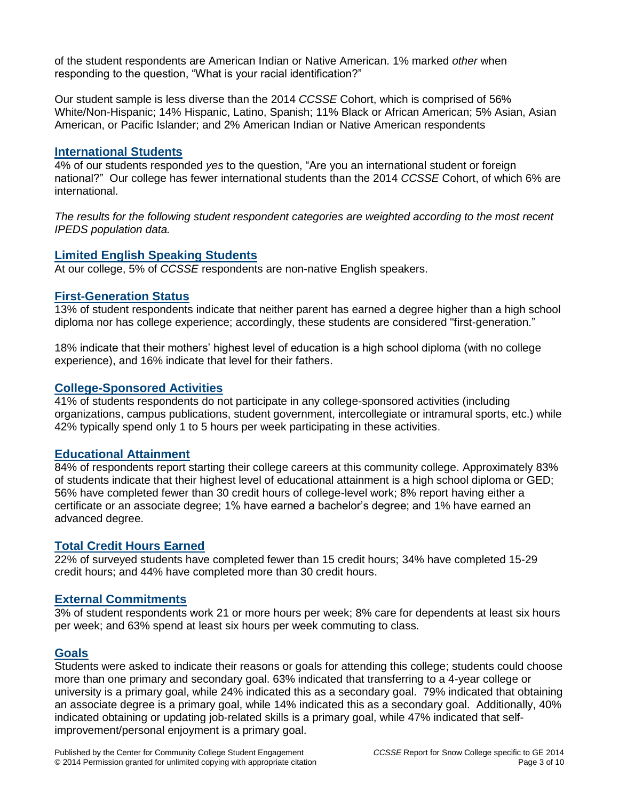of the student respondents are American Indian or Native American. 1% marked *other* when responding to the question, "What is your racial identification?"

Our student sample is less diverse than the 2014 *CCSSE* Cohort, which is comprised of 56% White/Non-Hispanic; 14% Hispanic, Latino, Spanish; 11% Black or African American; 5% Asian, Asian American, or Pacific Islander; and 2% American Indian or Native American respondents

#### **International Students**

4% of our students responded *yes* to the question, "Are you an international student or foreign national?" Our college has fewer international students than the 2014 *CCSSE* Cohort, of which 6% are international.

*The results for the following student respondent categories are weighted according to the most recent IPEDS population data.*

#### **Limited English Speaking Students**

At our college, 5% of *CCSSE* respondents are non-native English speakers.

#### **First-Generation Status**

13% of student respondents indicate that neither parent has earned a degree higher than a high school diploma nor has college experience; accordingly, these students are considered "first-generation."

18% indicate that their mothers' highest level of education is a high school diploma (with no college experience), and 16% indicate that level for their fathers.

#### **College-Sponsored Activities**

41% of students respondents do not participate in any college-sponsored activities (including organizations, campus publications, student government, intercollegiate or intramural sports, etc.) while 42% typically spend only 1 to 5 hours per week participating in these activities.

#### **Educational Attainment**

84% of respondents report starting their college careers at this community college. Approximately 83% of students indicate that their highest level of educational attainment is a high school diploma or GED; 56% have completed fewer than 30 credit hours of college-level work; 8% report having either a certificate or an associate degree; 1% have earned a bachelor's degree; and 1% have earned an advanced degree.

#### **Total Credit Hours Earned**

22% of surveyed students have completed fewer than 15 credit hours; 34% have completed 15-29 credit hours; and 44% have completed more than 30 credit hours.

#### **External Commitments**

3% of student respondents work 21 or more hours per week; 8% care for dependents at least six hours per week; and 63% spend at least six hours per week commuting to class.

#### **Goals**

Students were asked to indicate their reasons or goals for attending this college; students could choose more than one primary and secondary goal. 63% indicated that transferring to a 4-year college or university is a primary goal, while 24% indicated this as a secondary goal. 79% indicated that obtaining an associate degree is a primary goal, while 14% indicated this as a secondary goal. Additionally, 40% indicated obtaining or updating job-related skills is a primary goal, while 47% indicated that selfimprovement/personal enjoyment is a primary goal.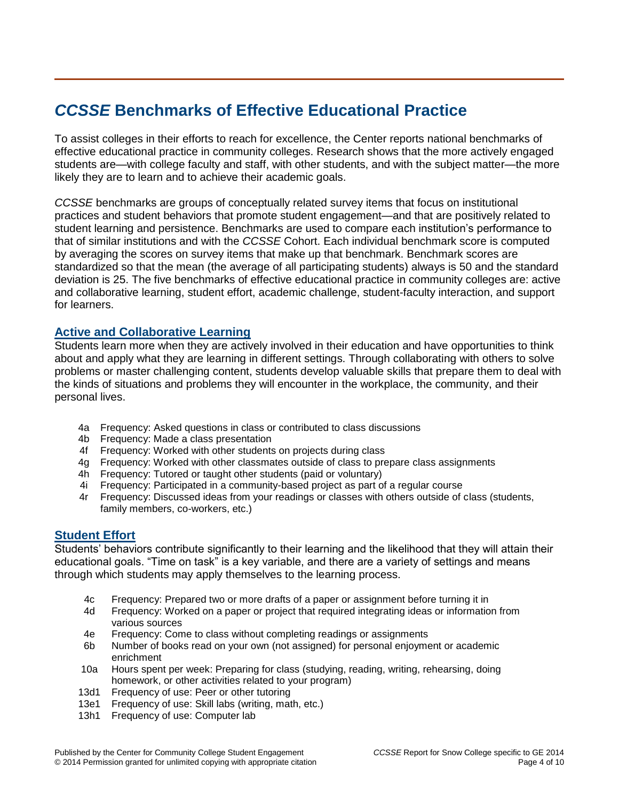## *CCSSE* **Benchmarks of Effective Educational Practice**

To assist colleges in their efforts to reach for excellence, the Center reports national benchmarks of effective educational practice in community colleges. Research shows that the more actively engaged students are—with college faculty and staff, with other students, and with the subject matter—the more likely they are to learn and to achieve their academic goals.

*CCSSE* benchmarks are groups of conceptually related survey items that focus on institutional practices and student behaviors that promote student engagement—and that are positively related to student learning and persistence. Benchmarks are used to compare each institution's performance to that of similar institutions and with the *CCSSE* Cohort. Each individual benchmark score is computed by averaging the scores on survey items that make up that benchmark. Benchmark scores are standardized so that the mean (the average of all participating students) always is 50 and the standard deviation is 25. The five benchmarks of effective educational practice in community colleges are: active and collaborative learning, student effort, academic challenge, student-faculty interaction, and support for learners.

#### **Active and Collaborative Learning**

Students learn more when they are actively involved in their education and have opportunities to think about and apply what they are learning in different settings. Through collaborating with others to solve problems or master challenging content, students develop valuable skills that prepare them to deal with the kinds of situations and problems they will encounter in the workplace, the community, and their personal lives.

- 4a Frequency: Asked questions in class or contributed to class discussions
- 4b Frequency: Made a class presentation
- 4f Frequency: Worked with other students on projects during class
- 4g Frequency: Worked with other classmates outside of class to prepare class assignments
- 4h Frequency: Tutored or taught other students (paid or voluntary)
- 4i Frequency: Participated in a community-based project as part of a regular course
- 4r Frequency: Discussed ideas from your readings or classes with others outside of class (students, family members, co-workers, etc.)

#### **Student Effort**

Students' behaviors contribute significantly to their learning and the likelihood that they will attain their educational goals. "Time on task" is a key variable, and there are a variety of settings and means through which students may apply themselves to the learning process.

- 4c Frequency: Prepared two or more drafts of a paper or assignment before turning it in
- 4d Frequency: Worked on a paper or project that required integrating ideas or information from various sources
- 4e Frequency: Come to class without completing readings or assignments
- 6b Number of books read on your own (not assigned) for personal enjoyment or academic enrichment
- 10a Hours spent per week: Preparing for class (studying, reading, writing, rehearsing, doing homework, or other activities related to your program)
- 13d1 Frequency of use: Peer or other tutoring
- 13e1 Frequency of use: Skill labs (writing, math, etc.)
- 13h1 Frequency of use: Computer lab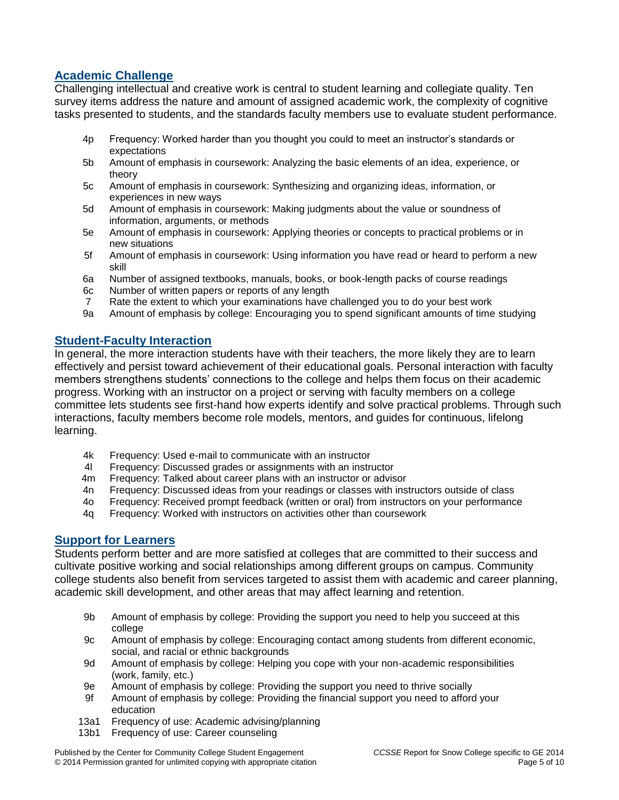#### **Academic Challenge**

Challenging intellectual and creative work is central to student learning and collegiate quality. Ten survey items address the nature and amount of assigned academic work, the complexity of cognitive tasks presented to students, and the standards faculty members use to evaluate student performance.

- 4p Frequency: Worked harder than you thought you could to meet an instructor's standards or expectations
- 5b Amount of emphasis in coursework: Analyzing the basic elements of an idea, experience, or theory
- 5c Amount of emphasis in coursework: Synthesizing and organizing ideas, information, or experiences in new ways
- 5d Amount of emphasis in coursework: Making judgments about the value or soundness of information, arguments, or methods
- 5e Amount of emphasis in coursework: Applying theories or concepts to practical problems or in new situations
- 5f Amount of emphasis in coursework: Using information you have read or heard to perform a new skill
- 6a Number of assigned textbooks, manuals, books, or book-length packs of course readings
- 6c Number of written papers or reports of any length
- 7 Rate the extent to which your examinations have challenged you to do your best work
- 9a Amount of emphasis by college: Encouraging you to spend significant amounts of time studying

#### **Student-Faculty Interaction**

In general, the more interaction students have with their teachers, the more likely they are to learn effectively and persist toward achievement of their educational goals. Personal interaction with faculty members strengthens students' connections to the college and helps them focus on their academic progress. Working with an instructor on a project or serving with faculty members on a college committee lets students see first-hand how experts identify and solve practical problems. Through such interactions, faculty members become role models, mentors, and guides for continuous, lifelong learning.

- 4k Frequency: Used e-mail to communicate with an instructor
- 4l Frequency: Discussed grades or assignments with an instructor
- 4m Frequency: Talked about career plans with an instructor or advisor
- 4n Frequency: Discussed ideas from your readings or classes with instructors outside of class
- 4o Frequency: Received prompt feedback (written or oral) from instructors on your performance
- 4q Frequency: Worked with instructors on activities other than coursework

#### **Support for Learners**

Students perform better and are more satisfied at colleges that are committed to their success and cultivate positive working and social relationships among different groups on campus. Community college students also benefit from services targeted to assist them with academic and career planning, academic skill development, and other areas that may affect learning and retention.

- 9b Amount of emphasis by college: Providing the support you need to help you succeed at this college
- 9c Amount of emphasis by college: Encouraging contact among students from different economic, social, and racial or ethnic backgrounds
- 9d Amount of emphasis by college: Helping you cope with your non-academic responsibilities (work, family, etc.)
- 9e Amount of emphasis by college: Providing the support you need to thrive socially
- 9f Amount of emphasis by college: Providing the financial support you need to afford your education
- 13a1 Frequency of use: Academic advising/planning
- 13b1 Frequency of use: Career counseling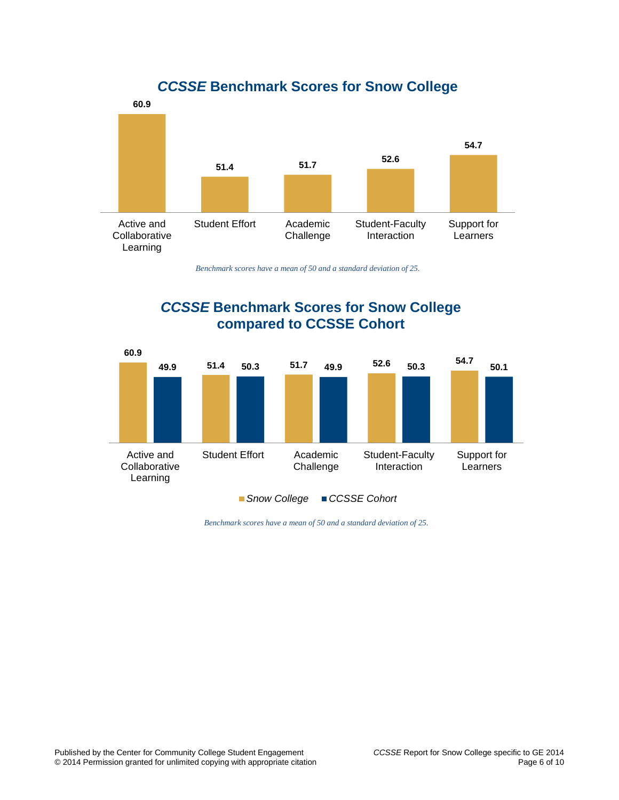

*CCSSE* **Benchmark Scores for Snow College**

*Benchmark scores have a mean of 50 and a standard deviation of 25.*

### *CCSSE* **Benchmark Scores for Snow College compared to CCSSE Cohort**



*Benchmark scores have a mean of 50 and a standard deviation of 25.*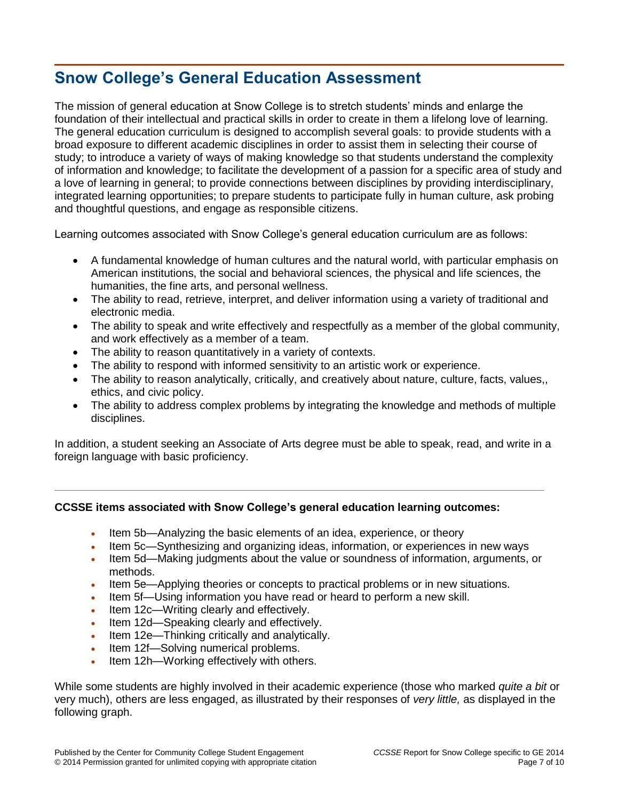## **Snow College's General Education Assessment**

The mission of general education at Snow College is to stretch students' minds and enlarge the foundation of their intellectual and practical skills in order to create in them a lifelong love of learning. The general education curriculum is designed to accomplish several goals: to provide students with a broad exposure to different academic disciplines in order to assist them in selecting their course of study; to introduce a variety of ways of making knowledge so that students understand the complexity of information and knowledge; to facilitate the development of a passion for a specific area of study and a love of learning in general; to provide connections between disciplines by providing interdisciplinary, integrated learning opportunities; to prepare students to participate fully in human culture, ask probing and thoughtful questions, and engage as responsible citizens.

Learning outcomes associated with Snow College's general education curriculum are as follows:

- A fundamental knowledge of human cultures and the natural world, with particular emphasis on American institutions, the social and behavioral sciences, the physical and life sciences, the humanities, the fine arts, and personal wellness.
- The ability to read, retrieve, interpret, and deliver information using a variety of traditional and electronic media.
- The ability to speak and write effectively and respectfully as a member of the global community, and work effectively as a member of a team.
- The ability to reason quantitatively in a variety of contexts.
- The ability to respond with informed sensitivity to an artistic work or experience.
- The ability to reason analytically, critically, and creatively about nature, culture, facts, values,, ethics, and civic policy.
- The ability to address complex problems by integrating the knowledge and methods of multiple disciplines.

In addition, a student seeking an Associate of Arts degree must be able to speak, read, and write in a foreign language with basic proficiency.

#### **CCSSE items associated with Snow College's general education learning outcomes:**

- Item 5b—Analyzing the basic elements of an idea, experience, or theory
- Item 5c—Synthesizing and organizing ideas, information, or experiences in new ways
- Item 5d—Making judgments about the value or soundness of information, arguments, or methods.
- Item 5e—Applying theories or concepts to practical problems or in new situations.
- Item 5f—Using information you have read or heard to perform a new skill.
- Item 12c—Writing clearly and effectively.
- Item 12d—Speaking clearly and effectively.
- Item 12e—Thinking critically and analytically.
- Item 12f—Solving numerical problems.
- Item 12h—Working effectively with others.

While some students are highly involved in their academic experience (those who marked *quite a bit* or very much), others are less engaged, as illustrated by their responses of *very little,* as displayed in the following graph.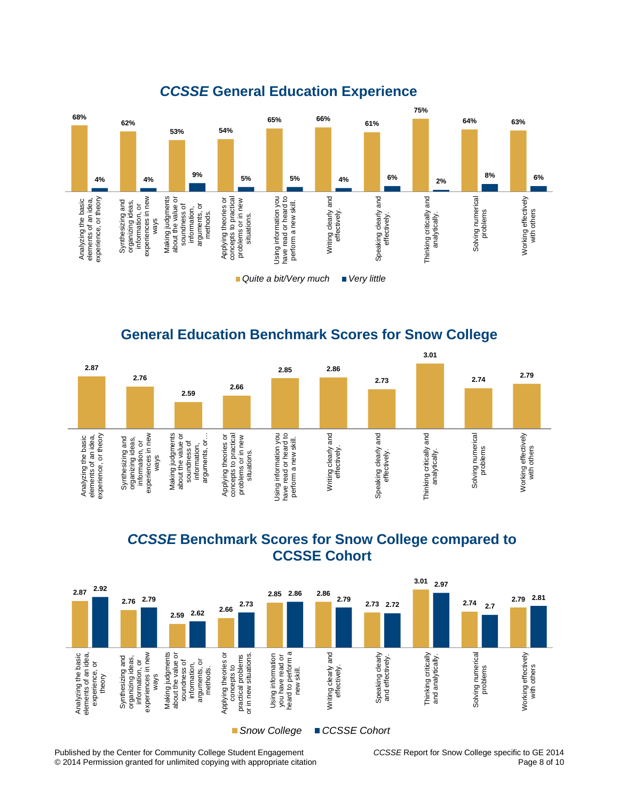

### *CCSSE* **General Education Experience**

**General Education Benchmark Scores for Snow College**







Published by the Center for Community College Student Engagement *CCSSE* Report for Snow College specific to GE 2014 © 2014 Permission granted for unlimited copying with appropriate citation Page 8 of 10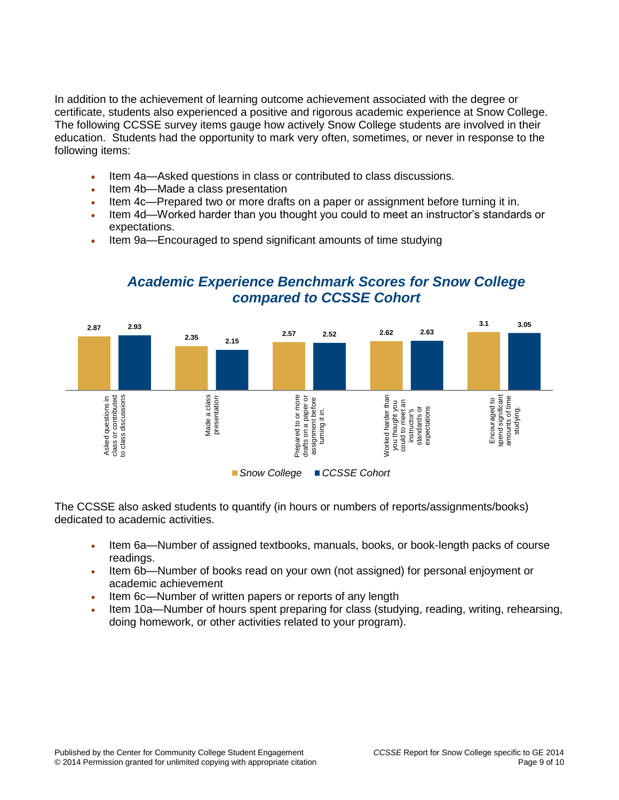In addition to the achievement of learning outcome achievement associated with the degree or certificate, students also experienced a positive and rigorous academic experience at Snow College. The following CCSSE survey items gauge how actively Snow College students are involved in their education. Students had the opportunity to mark very often, sometimes, or never in response to the following items:

- Item 4a—Asked questions in class or contributed to class discussions.
- Item 4b—Made a class presentation
- Item 4c—Prepared two or more drafts on a paper or assignment before turning it in.
- Item 4d—Worked harder than you thought you could to meet an instructor's standards or expectations.
- Item 9a—Encouraged to spend significant amounts of time studying



### *Academic Experience Benchmark Scores for Snow College compared to CCSSE Cohort*

The CCSSE also asked students to quantify (in hours or numbers of reports/assignments/books) dedicated to academic activities.

- Item 6a—Number of assigned textbooks, manuals, books, or book-length packs of course readings.
- Item 6b—Number of books read on your own (not assigned) for personal enjoyment or academic achievement
- Item 6c—Number of written papers or reports of any length
- Item 10a—Number of hours spent preparing for class (studying, reading, writing, rehearsing, doing homework, or other activities related to your program).